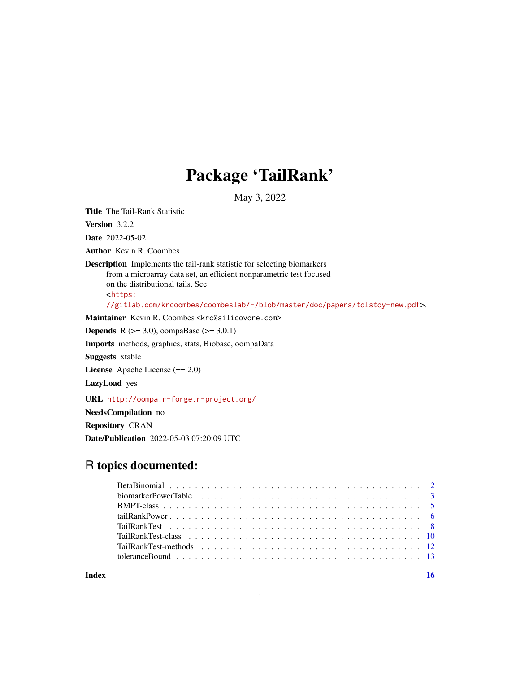## Package 'TailRank'

May 3, 2022

<span id="page-0-0"></span>Title The Tail-Rank Statistic

Version 3.2.2

Date 2022-05-02

Author Kevin R. Coombes

Description Implements the tail-rank statistic for selecting biomarkers from a microarray data set, an efficient nonparametric test focused on the distributional tails. See <[https:](https://gitlab.com/krcoombes/coombeslab/-/blob/master/doc/papers/tolstoy-new.pdf) [//gitlab.com/krcoombes/coombeslab/-/blob/master/doc/papers/tolstoy-new.pdf](https://gitlab.com/krcoombes/coombeslab/-/blob/master/doc/papers/tolstoy-new.pdf)>.

Maintainer Kevin R. Coombes <krc@silicovore.com>

**Depends** R ( $>= 3.0$ ), oompaBase ( $>= 3.0.1$ )

Imports methods, graphics, stats, Biobase, oompaData

Suggests xtable

License Apache License (== 2.0)

LazyLoad yes

URL <http://oompa.r-forge.r-project.org/>

NeedsCompilation no

Repository CRAN

Date/Publication 2022-05-03 07:20:09 UTC

## R topics documented:

**Index** the contract of the contract of the contract of the contract of the contract of the contract of the contract of the contract of the contract of the contract of the contract of the contract of the contract of the co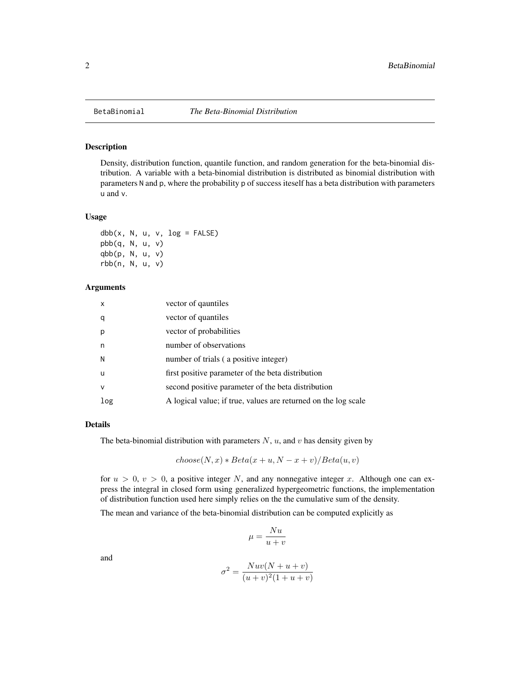<span id="page-1-0"></span>

#### Description

Density, distribution function, quantile function, and random generation for the beta-binomial distribution. A variable with a beta-binomial distribution is distributed as binomial distribution with parameters N and p, where the probability p of success iteself has a beta distribution with parameters u and v.

#### Usage

 $dbb(x, N, u, v, log = FALSE)$ pbb(q, N, u, v) qbb(p, N, u, v) rbb(n, N, u, v)

#### Arguments

| X   | vector of qauntiles                                            |
|-----|----------------------------------------------------------------|
| q   | vector of quantiles                                            |
| р   | vector of probabilities                                        |
| n   | number of observations                                         |
| N   | number of trials (a positive integer)                          |
| u   | first positive parameter of the beta distribution              |
| v   | second positive parameter of the beta distribution             |
| log | A logical value; if true, values are returned on the log scale |

#### Details

The beta-binomial distribution with parameters  $N$ ,  $u$ , and  $v$  has density given by

$$
choose(N, x) * Beta(x + u, N - x + v) / Beta(u, v)
$$

for  $u > 0$ ,  $v > 0$ , a positive integer N, and any nonnegative integer x. Although one can express the integral in closed form using generalized hypergeometric functions, the implementation of distribution function used here simply relies on the the cumulative sum of the density.

The mean and variance of the beta-binomial distribution can be computed explicitly as

$$
\mu = \frac{Nu}{u+v}
$$

and

$$
\sigma^2 = \frac{Nuv(N+u+v)}{(u+v)^2(1+u+v)}
$$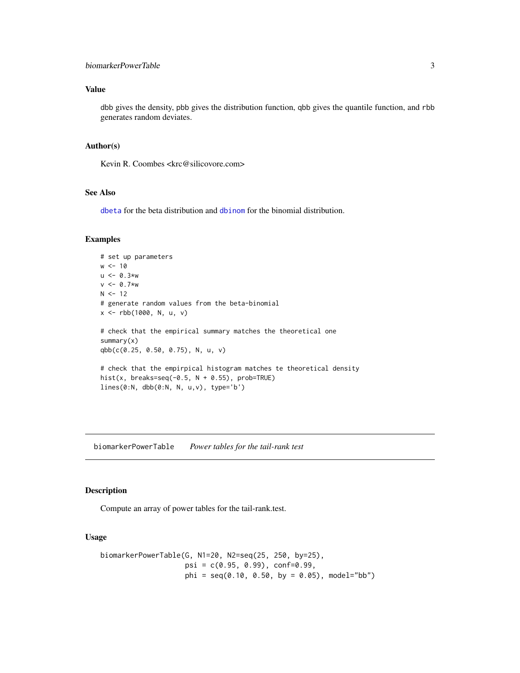## <span id="page-2-0"></span>Value

dbb gives the density, pbb gives the distribution function, qbb gives the quantile function, and rbb generates random deviates.

#### Author(s)

Kevin R. Coombes <krc@silicovore.com>

#### See Also

[dbeta](#page-0-0) for the beta distribution and [dbinom](#page-0-0) for the binomial distribution.

## Examples

```
# set up parameters
w < -10u < -0.3*w
v < -0.7*w
N < - 12# generate random values from the beta-binomial
x <- rbb(1000, N, u, v)
# check that the empirical summary matches the theoretical one
summary(x)
qbb(c(0.25, 0.50, 0.75), N, u, v)
# check that the empirpical histogram matches te theoretical density
hist(x, breaks=seq(-0.5, N + 0.55), prob=TRUE)
lines(0:N, dbb(0:N, N, u,v), type='b')
```
<span id="page-2-1"></span>biomarkerPowerTable *Power tables for the tail-rank test*

## Description

Compute an array of power tables for the tail-rank.test.

## Usage

```
biomarkerPowerTable(G, N1=20, N2=seq(25, 250, by=25),
                    psi = c(0.95, 0.99), conf=0.99,
                    phi = seq(0.10, 0.50, by = 0.05), model="bb")
```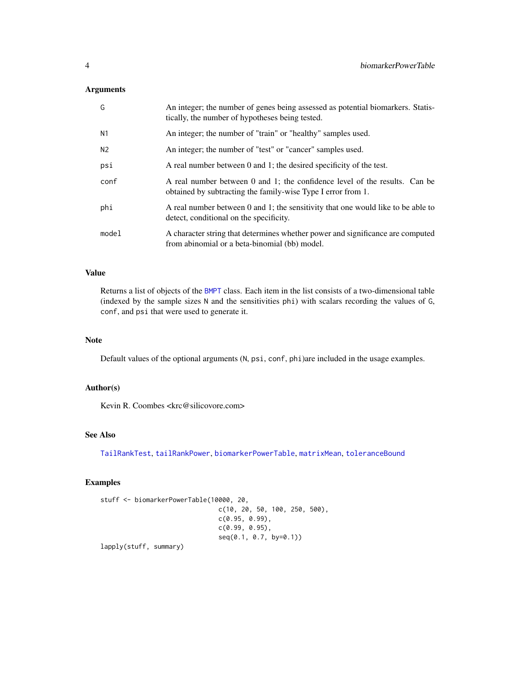## <span id="page-3-0"></span>Arguments

| G              | An integer; the number of genes being assessed as potential biomarkers. Statis-<br>tically, the number of hypotheses being tested.         |
|----------------|--------------------------------------------------------------------------------------------------------------------------------------------|
| N1             | An integer; the number of "train" or "healthy" samples used.                                                                               |
| N <sub>2</sub> | An integer; the number of "test" or "cancer" samples used.                                                                                 |
| psi            | A real number between 0 and 1; the desired specificity of the test.                                                                        |
| conf           | A real number between 0 and 1; the confidence level of the results. Can be<br>obtained by subtracting the family-wise Type I error from 1. |
| phi            | A real number between 0 and 1; the sensitivity that one would like to be able to<br>detect, conditional on the specificity.                |
| model          | A character string that determines whether power and significance are computed<br>from abinomial or a beta-binomial (bb) model.            |

## Value

Returns a list of objects of the [BMPT](#page-4-1) class. Each item in the list consists of a two-dimensional table (indexed by the sample sizes N and the sensitivities phi) with scalars recording the values of G, conf, and psi that were used to generate it.

## Note

Default values of the optional arguments (N, psi, conf, phi)are included in the usage examples.

## Author(s)

Kevin R. Coombes <krc@silicovore.com>

## See Also

[TailRankTest](#page-7-1), [tailRankPower](#page-5-1), [biomarkerPowerTable](#page-2-1), [matrixMean](#page-0-0), [toleranceBound](#page-12-1)

## Examples

```
stuff <- biomarkerPowerTable(10000, 20,
                              c(10, 20, 50, 100, 250, 500),
                               c(0.95, 0.99),
                               c(0.99, 0.95),
                               seq(0.1, 0.7, by=0.1))
```
lapply(stuff, summary)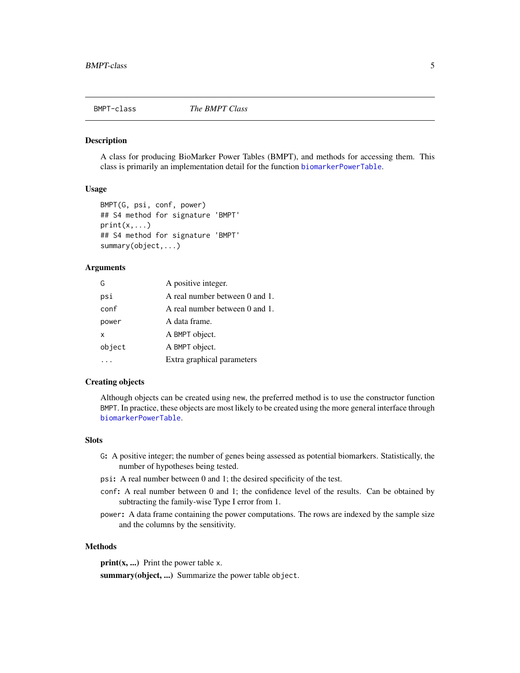<span id="page-4-0"></span>

#### <span id="page-4-1"></span>Description

A class for producing BioMarker Power Tables (BMPT), and methods for accessing them. This class is primarily an implementation detail for the function [biomarkerPowerTable](#page-2-1).

#### Usage

```
BMPT(G, psi, conf, power)
## S4 method for signature 'BMPT'
print(x, \ldots)## S4 method for signature 'BMPT'
summary(object,...)
```
## **Arguments**

| G      | A positive integer.            |
|--------|--------------------------------|
| psi    | A real number between 0 and 1. |
| conf   | A real number between 0 and 1. |
| power  | A data frame.                  |
| x      | A BMPT object.                 |
| object | A BMPT object.                 |
|        | Extra graphical parameters     |

#### Creating objects

Although objects can be created using new, the preferred method is to use the constructor function BMPT. In practice, these objects are most likely to be created using the more general interface through [biomarkerPowerTable](#page-2-1).

## Slots

- G: A positive integer; the number of genes being assessed as potential biomarkers. Statistically, the number of hypotheses being tested.
- psi: A real number between 0 and 1; the desired specificity of the test.
- conf: A real number between 0 and 1; the confidence level of the results. Can be obtained by subtracting the family-wise Type I error from 1.
- power: A data frame containing the power computations. The rows are indexed by the sample size and the columns by the sensitivity.

#### Methods

 $print(x, ...)$  Print the power table x.

summary(object, ...) Summarize the power table object.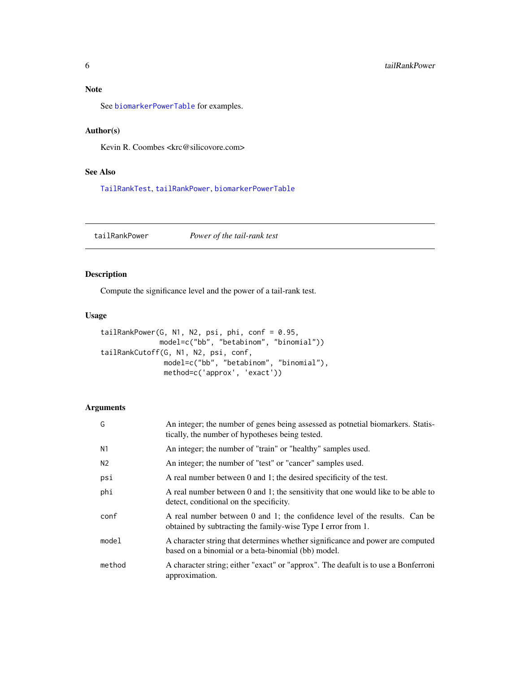<span id="page-5-0"></span>

See [biomarkerPowerTable](#page-2-1) for examples.

## Author(s)

Kevin R. Coombes <krc@silicovore.com>

## See Also

[TailRankTest](#page-7-1), [tailRankPower](#page-5-1), [biomarkerPowerTable](#page-2-1)

<span id="page-5-1"></span>tailRankPower *Power of the tail-rank test*

## Description

Compute the significance level and the power of a tail-rank test.

### Usage

```
tailRankPower(G, N1, N2, psi, phi, conf = 0.95,
             model=c("bb", "betabinom", "binomial"))
tailRankCutoff(G, N1, N2, psi, conf,
              model=c("bb", "betabinom", "binomial"),
              method=c('approx', 'exact'))
```
## Arguments

| G      | An integer; the number of genes being assessed as potnetial biomarkers. Statis-<br>tically, the number of hypotheses being tested.         |
|--------|--------------------------------------------------------------------------------------------------------------------------------------------|
| N1     | An integer; the number of "train" or "healthy" samples used.                                                                               |
| N2     | An integer; the number of "test" or "cancer" samples used.                                                                                 |
| psi    | A real number between 0 and 1; the desired specificity of the test.                                                                        |
| phi    | A real number between 0 and 1; the sensitivity that one would like to be able to<br>detect, conditional on the specificity.                |
| conf   | A real number between 0 and 1; the confidence level of the results. Can be<br>obtained by subtracting the family-wise Type I error from 1. |
| model  | A character string that determines whether significance and power are computed<br>based on a binomial or a beta-binomial (bb) model.       |
| method | A character string; either "exact" or "approx". The deafult is to use a Bonferroni<br>approximation.                                       |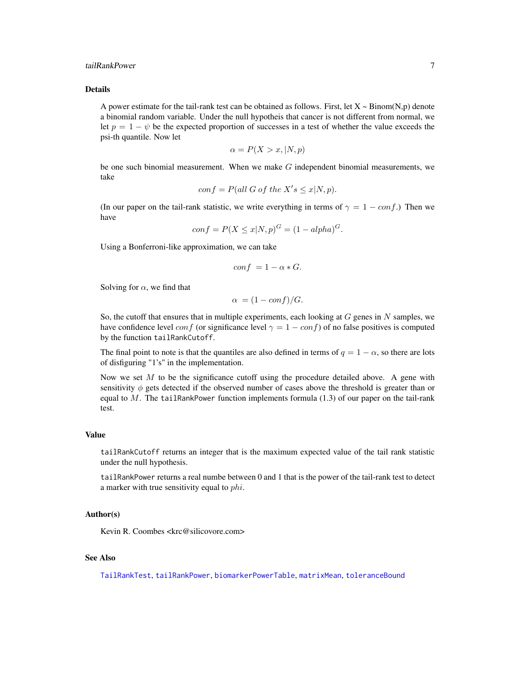#### <span id="page-6-0"></span>tailRankPower 7 and 7 and 7 and 7 and 7 and 7 and 7 and 7 and 7 and 7 and 7 and 7 and 7 and 7 and 7 and 7 and 7 and 7 and 7 and 7 and 7 and 7 and 7 and 7 and 7 and 7 and 7 and 7 and 7 and 7 and 7 and 7 and 7 and 7 and 7 an

## Details

A power estimate for the tail-rank test can be obtained as follows. First, let  $X \sim Binom(N,p)$  denote a binomial random variable. Under the null hypotheis that cancer is not different from normal, we let  $p = 1 - \psi$  be the expected proportion of successes in a test of whether the value exceeds the psi-th quantile. Now let

$$
\alpha = P(X > x, |N, p)
$$

be one such binomial measurement. When we make  $G$  independent binomial measurements, we take

$$
conf = P(\text{all } G \text{ of the } X's \leq x | N, p).
$$

(In our paper on the tail-rank statistic, we write everything in terms of  $\gamma = 1 - \text{conf.}$ ) Then we have

$$
conf = P(X \le x | N, p)^{G} = (1 - alpha)^{G}.
$$

Using a Bonferroni-like approximation, we can take

$$
conf = 1 - \alpha * G.
$$

Solving for  $\alpha$ , we find that

$$
\alpha = (1 - \text{conf})/G.
$$

So, the cutoff that ensures that in multiple experiments, each looking at  $G$  genes in  $N$  samples, we have confidence level conf (or significance level  $\gamma = 1 - \text{conf}$ ) of no false positives is computed by the function tailRankCutoff.

The final point to note is that the quantiles are also defined in terms of  $q = 1 - \alpha$ , so there are lots of disfiguring "1's" in the implementation.

Now we set  $M$  to be the significance cutoff using the procedure detailed above. A gene with sensitivity  $\phi$  gets detected if the observed number of cases above the threshold is greater than or equal to  $M$ . The tailRankPower function implements formula (1.3) of our paper on the tail-rank test.

#### Value

tailRankCutoff returns an integer that is the maximum expected value of the tail rank statistic under the null hypothesis.

tailRankPower returns a real numbe between 0 and 1 that is the power of the tail-rank test to detect a marker with true sensitivity equal to phi.

#### Author(s)

Kevin R. Coombes <krc@silicovore.com>

#### See Also

[TailRankTest](#page-7-1), [tailRankPower](#page-5-1), [biomarkerPowerTable](#page-2-1), [matrixMean](#page-0-0), [toleranceBound](#page-12-1)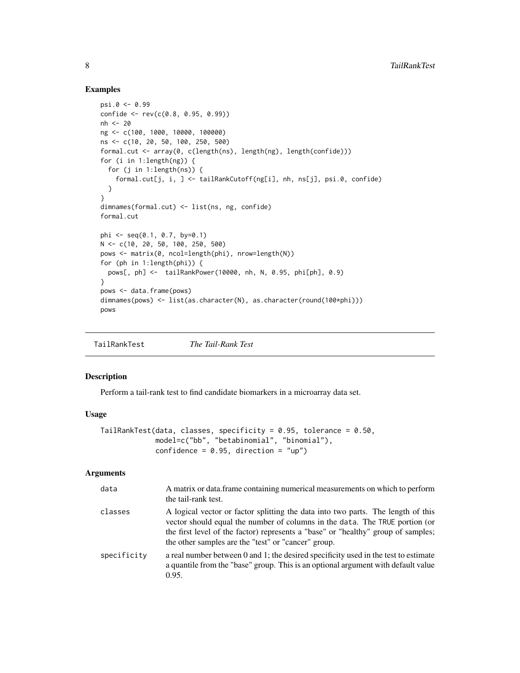#### Examples

```
psi.0 <- 0.99
confide <- rev(c(0.8, 0.95, 0.99))
nh <- 20
ng <- c(100, 1000, 10000, 100000)
ns <- c(10, 20, 50, 100, 250, 500)
formal.cut <- array(0, c(length(ns), length(ng), length(confide)))
for (i in 1:length(ng)) {
  for (j in 1:length(ns)) {
   formal.cut[j, i, ] <- tailRankCutoff(ng[i], nh, ns[j], psi.0, confide)
 }
}
dimnames(formal.cut) <- list(ns, ng, confide)
formal.cut
phi <- seq(0.1, 0.7, by=0.1)N <- c(10, 20, 50, 100, 250, 500)
pows <- matrix(0, ncol=length(phi), nrow=length(N))
for (ph in 1:length(phi)) {
  pows[, ph] <- tailRankPower(10000, nh, N, 0.95, phi[ph], 0.9)
}
pows <- data.frame(pows)
dimnames(pows) <- list(as.character(N), as.character(round(100*phi)))
pows
```
<span id="page-7-1"></span>TailRankTest *The Tail-Rank Test*

#### Description

Perform a tail-rank test to find candidate biomarkers in a microarray data set.

#### Usage

```
TailRankTest(data, classes, specificity = 0.95, tolerance = 0.50,
            model=c("bb", "betabinomial", "binomial"),
            confidence = 0.95, direction = "up")
```
## Arguments

| data        | A matrix or data.frame containing numerical measurements on which to perform<br>the tail-rank test.                                                                                                                                                                                                         |
|-------------|-------------------------------------------------------------------------------------------------------------------------------------------------------------------------------------------------------------------------------------------------------------------------------------------------------------|
| classes     | A logical vector or factor splitting the data into two parts. The length of this<br>vector should equal the number of columns in the data. The TRUE portion (or<br>the first level of the factor) represents a "base" or "healthy" group of samples;<br>the other samples are the "test" or "cancer" group. |
| specificity | a real number between 0 and 1; the desired specificity used in the test to estimate<br>a quantile from the "base" group. This is an optional argument with default value<br>0.95.                                                                                                                           |

<span id="page-7-0"></span>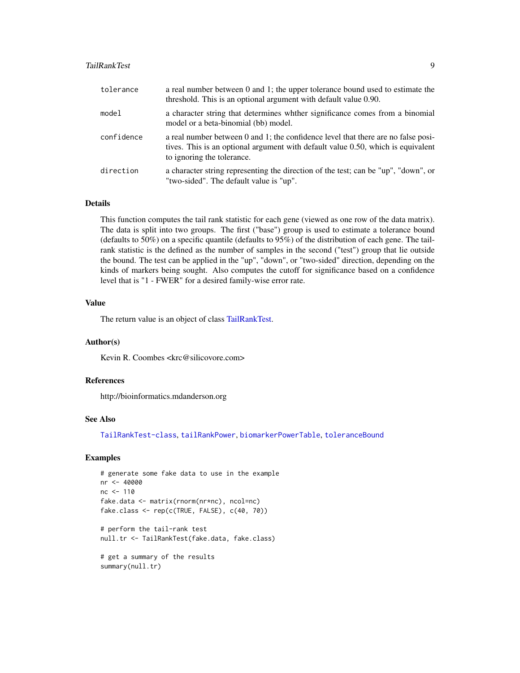#### <span id="page-8-0"></span>TailRankTest 9

| tolerance  | a real number between 0 and 1; the upper tolerance bound used to estimate the<br>threshold. This is an optional argument with default value 0.90.                                                   |
|------------|-----------------------------------------------------------------------------------------------------------------------------------------------------------------------------------------------------|
| model      | a character string that determines whther significance comes from a binomial<br>model or a beta-binomial (bb) model.                                                                                |
| confidence | a real number between 0 and 1; the confidence level that there are no false posi-<br>tives. This is an optional argument with default value 0.50, which is equivalent<br>to ignoring the tolerance. |
| direction  | a character string representing the direction of the test; can be "up", "down", or<br>"two-sided". The default value is "up".                                                                       |

#### Details

This function computes the tail rank statistic for each gene (viewed as one row of the data matrix). The data is split into two groups. The first ("base") group is used to estimate a tolerance bound (defaults to 50%) on a specific quantile (defaults to 95%) of the distribution of each gene. The tailrank statistic is the defined as the number of samples in the second ("test") group that lie outside the bound. The test can be applied in the "up", "down", or "two-sided" direction, depending on the kinds of markers being sought. Also computes the cutoff for significance based on a confidence level that is "1 - FWER" for a desired family-wise error rate.

## Value

The return value is an object of class [TailRankTest.](#page-9-1)

#### Author(s)

Kevin R. Coombes <krc@silicovore.com>

## References

http://bioinformatics.mdanderson.org

#### See Also

[TailRankTest-class](#page-9-1), [tailRankPower](#page-5-1), [biomarkerPowerTable](#page-2-1), [toleranceBound](#page-12-1)

## Examples

```
# generate some fake data to use in the example
nr <- 40000
nc < -110fake.data <- matrix(rnorm(nr*nc), ncol=nc)
fake.class <- rep(c(TRUE, FALSE), c(40, 70))
# perform the tail-rank test
```

```
null.tr <- TailRankTest(fake.data, fake.class)
```

```
# get a summary of the results
summary(null.tr)
```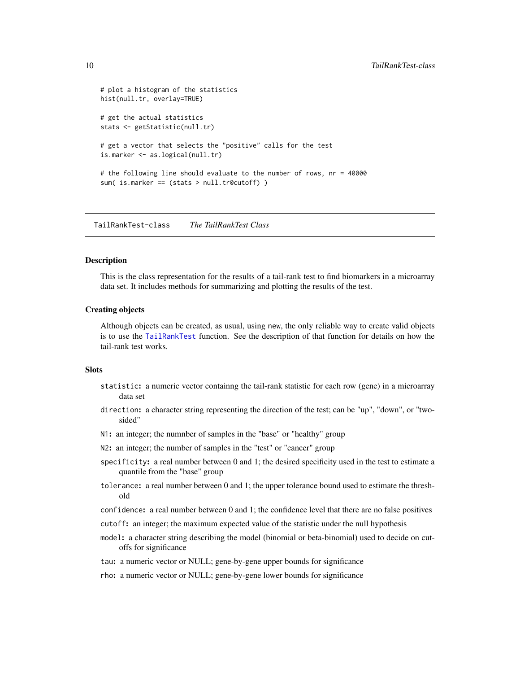```
# plot a histogram of the statistics
hist(null.tr, overlay=TRUE)
# get the actual statistics
stats <- getStatistic(null.tr)
# get a vector that selects the "positive" calls for the test
is.marker <- as.logical(null.tr)
# the following line should evaluate to the number of rows, nr = 40000
sum( is.marker == (stats > null.tr@cutoff) )
```
<span id="page-9-1"></span>TailRankTest-class *The TailRankTest Class*

#### Description

This is the class representation for the results of a tail-rank test to find biomarkers in a microarray data set. It includes methods for summarizing and plotting the results of the test.

#### Creating objects

Although objects can be created, as usual, using new, the only reliable way to create valid objects is to use the [TailRankTest](#page-7-1) function. See the description of that function for details on how the tail-rank test works.

#### Slots

- statistic: a numeric vector containng the tail-rank statistic for each row (gene) in a microarray data set
- direction: a character string representing the direction of the test; can be "up", "down", or "twosided"
- N1: an integer; the numnber of samples in the "base" or "healthy" group
- N2: an integer; the number of samples in the "test" or "cancer" group
- specificity: a real number between 0 and 1; the desired specificity used in the test to estimate a quantile from the "base" group
- tolerance: a real number between 0 and 1; the upper tolerance bound used to estimate the threshold
- confidence: a real number between 0 and 1; the confidence level that there are no false positives
- cutoff: an integer; the maximum expected value of the statistic under the null hypothesis
- model: a character string describing the model (binomial or beta-binomial) used to decide on cutoffs for significance
- tau: a numeric vector or NULL; gene-by-gene upper bounds for significance
- rho: a numeric vector or NULL; gene-by-gene lower bounds for significance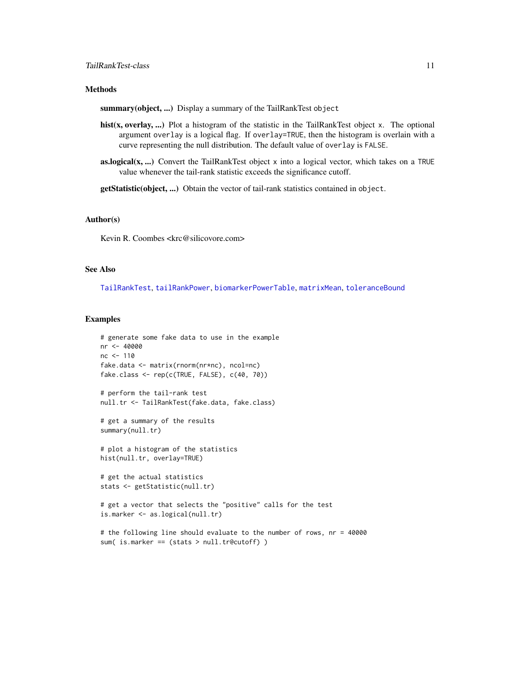## <span id="page-10-0"></span>**Methods**

summary(object, ...) Display a summary of the TailRankTest object

- hist(x, overlay, ...) Plot a histogram of the statistic in the TailRankTest object x. The optional argument overlay is a logical flag. If overlay=TRUE, then the histogram is overlain with a curve representing the null distribution. The default value of overlay is FALSE.
- as.logical(x, ...) Convert the TailRankTest object x into a logical vector, which takes on a TRUE value whenever the tail-rank statistic exceeds the significance cutoff.

getStatistic(object, ...) Obtain the vector of tail-rank statistics contained in object.

#### Author(s)

Kevin R. Coombes <krc@silicovore.com>

#### See Also

[TailRankTest](#page-7-1), [tailRankPower](#page-5-1), [biomarkerPowerTable](#page-2-1), [matrixMean](#page-0-0), [toleranceBound](#page-12-1)

#### Examples

```
# generate some fake data to use in the example
nr <- 40000
nc <- 110
fake.data <- matrix(rnorm(nr*nc), ncol=nc)
fake.class <- rep(c(TRUE, FALSE), c(40, 70))
# perform the tail-rank test
null.tr <- TailRankTest(fake.data, fake.class)
# get a summary of the results
summary(null.tr)
# plot a histogram of the statistics
hist(null.tr, overlay=TRUE)
# get the actual statistics
stats <- getStatistic(null.tr)
# get a vector that selects the "positive" calls for the test
is.marker <- as.logical(null.tr)
# the following line should evaluate to the number of rows, nr = 40000
sum( is.marker == (stats > null.tr@cutoff) )
```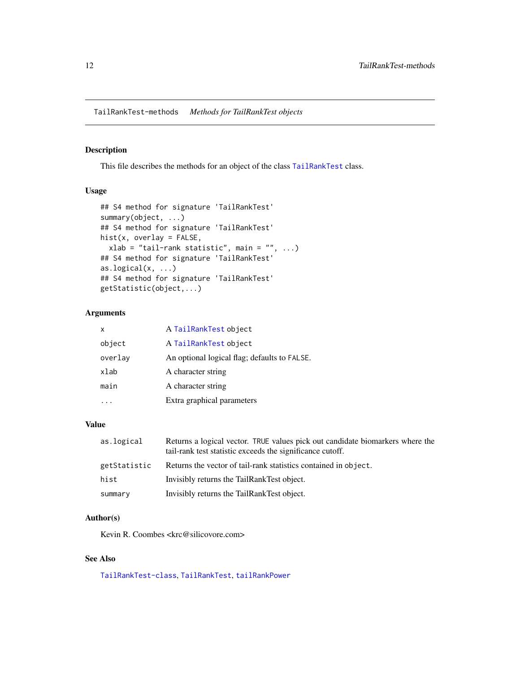<span id="page-11-0"></span>TailRankTest-methods *Methods for TailRankTest objects*

## Description

This file describes the methods for an object of the class [TailRankTest](#page-9-1) class.

#### Usage

```
## S4 method for signature 'TailRankTest'
summary(object, ...)
## S4 method for signature 'TailRankTest'
hist(x, overlay = FALSE,
  xlab = "tail-rank statistic", main = "", ...)
## S4 method for signature 'TailRankTest'
as.logical(x, \ldots)## S4 method for signature 'TailRankTest'
getStatistic(object,...)
```
## Arguments

| X       | A TailRankTest object                        |
|---------|----------------------------------------------|
| object  | A TailRankTest object                        |
| overlay | An optional logical flag; defaults to FALSE. |
| xlab    | A character string                           |
| main    | A character string                           |
|         | Extra graphical parameters                   |

## Value

| as.logical   | Returns a logical vector. TRUE values pick out candidate biomarkers where the<br>tail-rank test statistic exceeds the significance cutoff. |
|--------------|--------------------------------------------------------------------------------------------------------------------------------------------|
| getStatistic | Returns the vector of tail-rank statistics contained in object.                                                                            |
| hist         | Invisibly returns the TailRankTest object.                                                                                                 |
| summary      | Invisibly returns the TailRankTest object.                                                                                                 |

## Author(s)

Kevin R. Coombes <krc@silicovore.com>

#### See Also

[TailRankTest-class](#page-9-1), [TailRankTest](#page-7-1), [tailRankPower](#page-5-1)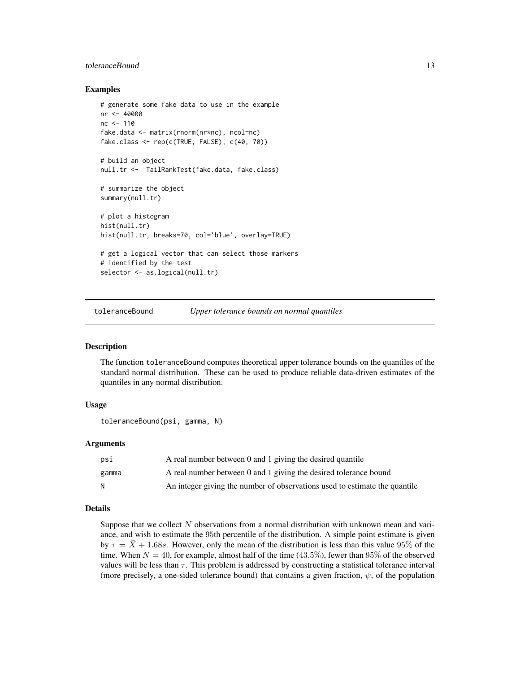## <span id="page-12-0"></span>toleranceBound 13

#### Examples

```
# generate some fake data to use in the example
nr <- 40000
nc <- 110
fake.data <- matrix(rnorm(nr*nc), ncol=nc)
fake.class <- rep(c(TRUE, FALSE), c(40, 70))
# build an object
null.tr <- TailRankTest(fake.data, fake.class)
# summarize the object
summary(null.tr)
# plot a histogram
hist(null.tr)
hist(null.tr, breaks=70, col='blue', overlay=TRUE)
# get a logical vector that can select those markers
# identified by the test
selector <- as.logical(null.tr)
```
<span id="page-12-1"></span>toleranceBound *Upper tolerance bounds on normal quantiles*

## **Description**

The function toleranceBound computes theoretical upper tolerance bounds on the quantiles of the standard normal distribution. These can be used to produce reliable data-driven estimates of the quantiles in any normal distribution.

## Usage

toleranceBound(psi, gamma, N)

#### Arguments

| psi   | A real number between 0 and 1 giving the desired quantile                  |
|-------|----------------------------------------------------------------------------|
| gamma | A real number between 0 and 1 giving the desired tolerance bound           |
| N     | An integer giving the number of observations used to estimate the quantile |

#### Details

Suppose that we collect N observations from a normal distribution with unknown mean and variance, and wish to estimate the 95th percentile of the distribution. A simple point estimate is given by  $\tau = \overline{X} + 1.68s$ . However, only the mean of the distribution is less than this value 95% of the time. When  $N = 40$ , for example, almost half of the time (43.5%), fewer than 95% of the observed values will be less than  $\tau$ . This problem is addressed by constructing a statistical tolerance interval (more precisely, a one-sided tolerance bound) that contains a given fraction,  $\psi$ , of the population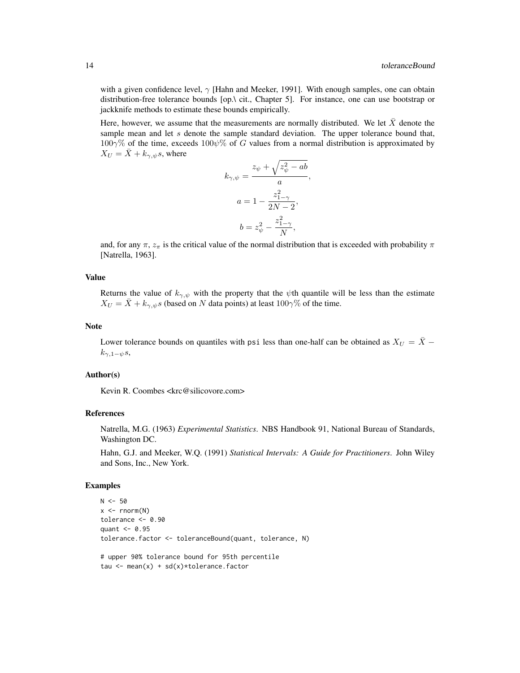with a given confidence level,  $\gamma$  [Hahn and Meeker, 1991]. With enough samples, one can obtain distribution-free tolerance bounds [op.\ cit., Chapter 5]. For instance, one can use bootstrap or jackknife methods to estimate these bounds empirically.

Here, however, we assume that the measurements are normally distributed. We let  $\bar{X}$  denote the sample mean and let s denote the sample standard deviation. The upper tolerance bound that,  $100\gamma\%$  of the time, exceeds  $100\psi\%$  of G values from a normal distribution is approximated by  $X_U = \overline{X} + k_{\gamma,\psi} s$ , where

$$
k_{\gamma,\psi} = \frac{z_{\psi} + \sqrt{z_{\psi}^2 - ab}}{a},
$$

$$
a = 1 - \frac{z_{1-\gamma}^2}{2N - 2},
$$

$$
b = z_{\psi}^2 - \frac{z_{1-\gamma}^2}{N},
$$

and, for any  $\pi$ ,  $z_{\pi}$  is the critical value of the normal distribution that is exceeded with probability  $\pi$ [Natrella, 1963].

#### Value

Returns the value of  $k_{\gamma,\psi}$  with the property that the  $\psi$ th quantile will be less than the estimate  $X_U = \overline{X} + k_{\gamma,\psi} s$  (based on N data points) at least 100 $\gamma\%$  of the time.

#### Note

Lower tolerance bounds on quantiles with psi less than one-half can be obtained as  $X_U = \overline{X}$  −  $k_{\gamma,1-\psi}s,$ 

#### Author(s)

Kevin R. Coombes <krc@silicovore.com>

## References

Natrella, M.G. (1963) *Experimental Statistics*. NBS Handbook 91, National Bureau of Standards, Washington DC.

Hahn, G.J. and Meeker, W.Q. (1991) *Statistical Intervals: A Guide for Practitioners*. John Wiley and Sons, Inc., New York.

#### Examples

```
N < -50x \le - rnorm(N)tolerance <- 0.90
quant <-0.95tolerance.factor <- toleranceBound(quant, tolerance, N)
# upper 90% tolerance bound for 95th percentile
tau \leq mean(x) + sd(x)*tolerance.factor
```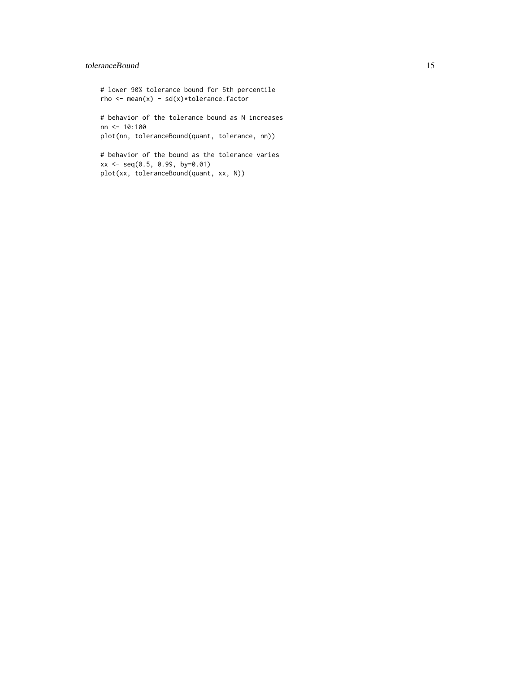## toleranceBound 15

# lower 90% tolerance bound for 5th percentile rho  $\leq$  mean(x) - sd(x)\*tolerance.factor

# behavior of the tolerance bound as N increases nn <- 10:100 plot(nn, toleranceBound(quant, tolerance, nn))

# behavior of the bound as the tolerance varies xx <- seq(0.5, 0.99, by=0.01) plot(xx, toleranceBound(quant, xx, N))